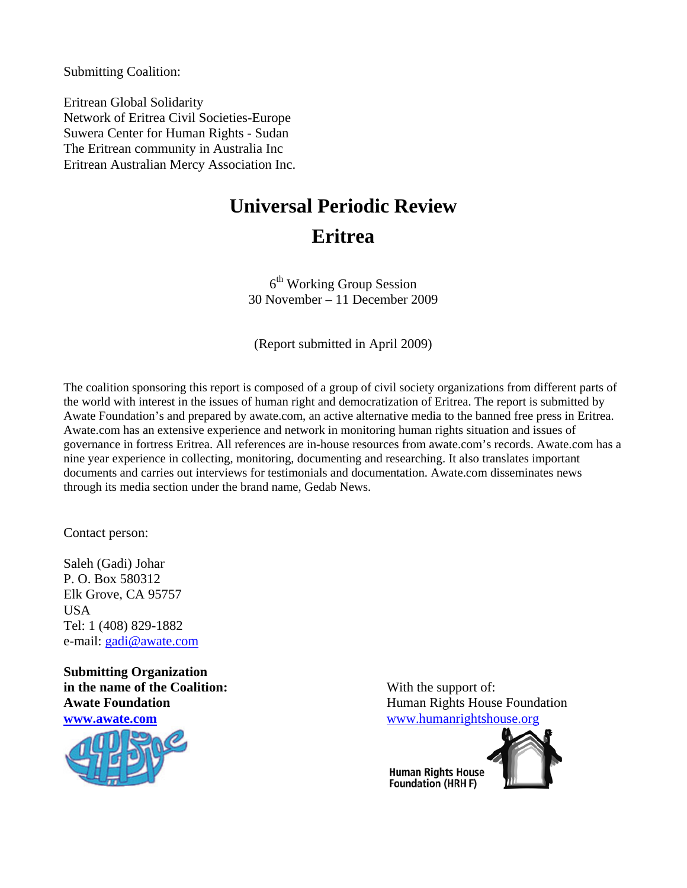Submitting Coalition:

Eritrean Global Solidarity Network of Eritrea Civil Societies-Europe Suwera Center for Human Rights - Sudan The Eritrean community in Australia Inc Eritrean Australian Mercy Association Inc.

# **Universal Periodic Review Eritrea**

 $6<sup>th</sup>$  Working Group Session 30 November – 11 December 2009

(Report submitted in April 2009)

The coalition sponsoring this report is composed of a group of civil society organizations from different parts of the world with interest in the issues of human right and democratization of Eritrea. The report is submitted by Awate Foundation's and prepared by awate.com, an active alternative media to the banned free press in Eritrea. Awate.com has an extensive experience and network in monitoring human rights situation and issues of governance in fortress Eritrea. All references are in-house resources from awate.com's records. Awate.com has a nine year experience in collecting, monitoring, documenting and researching. It also translates important documents and carries out interviews for testimonials and documentation. Awate.com disseminates news through its media section under the brand name, Gedab News.

Contact person:

Saleh (Gadi) Johar P. O. Box 580312 Elk Grove, CA 95757 USA Tel: 1 (408) 829-1882 e-mail: gadi@awate.com

**Submitting Organization in the name of the Coalition:** With the support of:



Awate Foundation **Awate Foundation Human Rights House Foundation www.awate.com** www.humanrightshouse.org

> **Human Rights House** Foundation (HRH F)

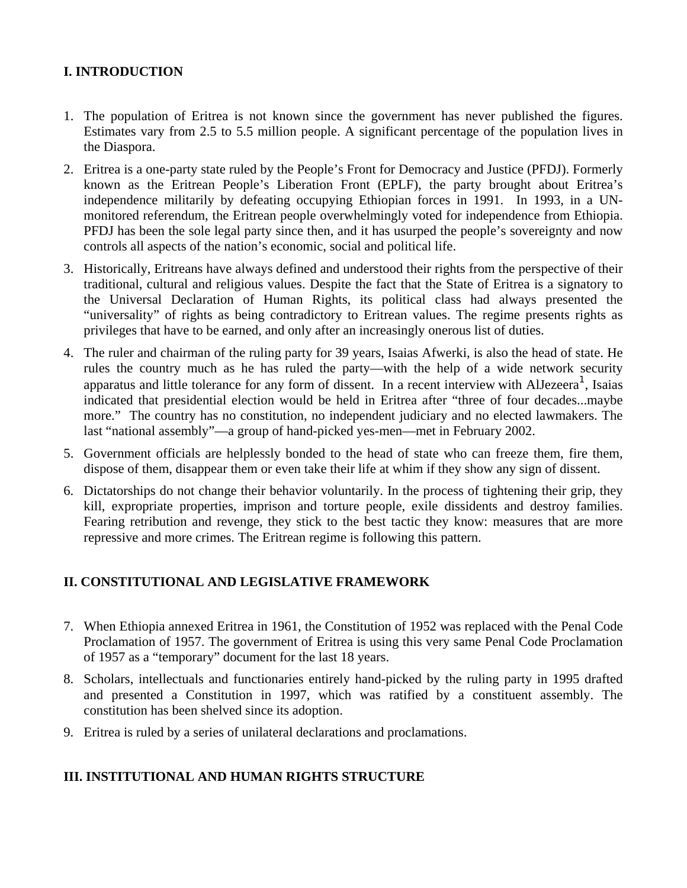# **I. INTRODUCTION**

- 1. The population of Eritrea is not known since the government has never published the figures. Estimates vary from 2.5 to 5.5 million people. A significant percentage of the population lives in the Diaspora.
- 2. Eritrea is a one-party state ruled by the People's Front for Democracy and Justice (PFDJ). Formerly known as the Eritrean People's Liberation Front (EPLF), the party brought about Eritrea's independence militarily by defeating occupying Ethiopian forces in 1991. In 1993, in a UNmonitored referendum, the Eritrean people overwhelmingly voted for independence from Ethiopia. PFDJ has been the sole legal party since then, and it has usurped the people's sovereignty and now controls all aspects of the nation's economic, social and political life.
- 3. Historically, Eritreans have always defined and understood their rights from the perspective of their traditional, cultural and religious values. Despite the fact that the State of Eritrea is a signatory to the Universal Declaration of Human Rights, its political class had always presented the "universality" of rights as being contradictory to Eritrean values. The regime presents rights as privileges that have to be earned, and only after an increasingly onerous list of duties.
- 4. The ruler and chairman of the ruling party for 39 years, Isaias Afwerki, is also the head of state. He rules the country much as he has ruled the party—with the help of a wide network security apparatus and little tolerance for any form of dissent. In a recent interview with AlJezeera<sup>1</sup>, Isaias indicated that presidential election would be held in Eritrea after "three of four decades...maybe more." The country has no constitution, no independent judiciary and no elected lawmakers. The last "national assembly"—a group of hand-picked yes-men—met in February 2002.
- 5. Government officials are helplessly bonded to the head of state who can freeze them, fire them, dispose of them, disappear them or even take their life at whim if they show any sign of dissent.
- 6. Dictatorships do not change their behavior voluntarily. In the process of tightening their grip, they kill, expropriate properties, imprison and torture people, exile dissidents and destroy families. Fearing retribution and revenge, they stick to the best tactic they know: measures that are more repressive and more crimes. The Eritrean regime is following this pattern.

## **II. CONSTITUTIONAL AND LEGISLATIVE FRAMEWORK**

- 7. When Ethiopia annexed Eritrea in 1961, the Constitution of 1952 was replaced with the Penal Code Proclamation of 1957. The government of Eritrea is using this very same Penal Code Proclamation of 1957 as a "temporary" document for the last 18 years.
- 8. Scholars, intellectuals and functionaries entirely hand-picked by the ruling party in 1995 drafted and presented a Constitution in 1997, which was ratified by a constituent assembly. The constitution has been shelved since its adoption.
- 9. Eritrea is ruled by a series of unilateral declarations and proclamations.

## **III. INSTITUTIONAL AND HUMAN RIGHTS STRUCTURE**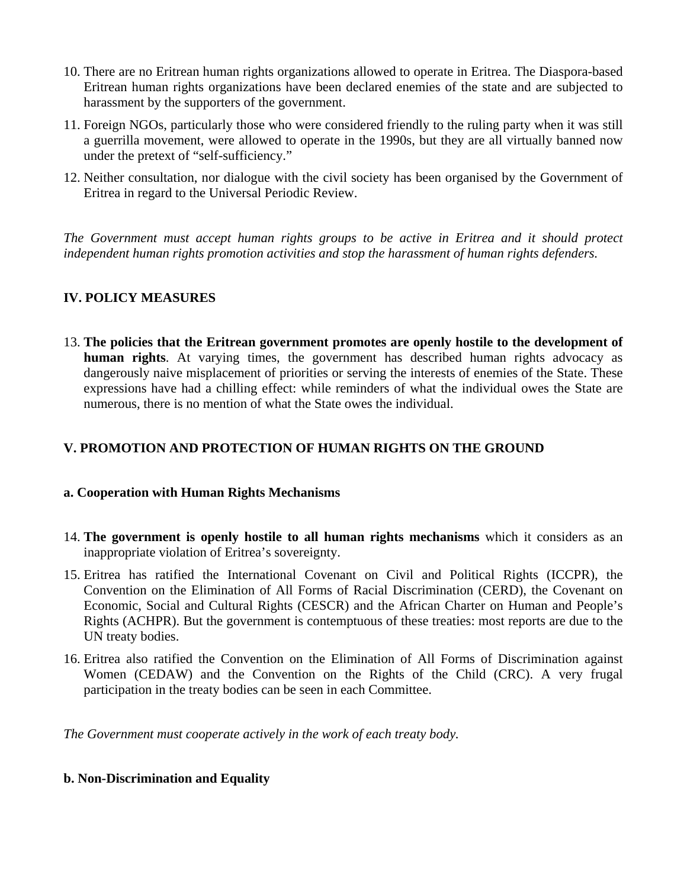- 10. There are no Eritrean human rights organizations allowed to operate in Eritrea. The Diaspora-based Eritrean human rights organizations have been declared enemies of the state and are subjected to harassment by the supporters of the government.
- 11. Foreign NGOs, particularly those who were considered friendly to the ruling party when it was still a guerrilla movement, were allowed to operate in the 1990s, but they are all virtually banned now under the pretext of "self-sufficiency."
- 12. Neither consultation, nor dialogue with the civil society has been organised by the Government of Eritrea in regard to the Universal Periodic Review.

*The Government must accept human rights groups to be active in Eritrea and it should protect independent human rights promotion activities and stop the harassment of human rights defenders.* 

# **IV. POLICY MEASURES**

13. **The policies that the Eritrean government promotes are openly hostile to the development of human rights**. At varying times, the government has described human rights advocacy as dangerously naive misplacement of priorities or serving the interests of enemies of the State. These expressions have had a chilling effect: while reminders of what the individual owes the State are numerous, there is no mention of what the State owes the individual.

# **V. PROMOTION AND PROTECTION OF HUMAN RIGHTS ON THE GROUND**

#### **a. Cooperation with Human Rights Mechanisms**

- 14. **The government is openly hostile to all human rights mechanisms** which it considers as an inappropriate violation of Eritrea's sovereignty.
- 15. Eritrea has ratified the International Covenant on Civil and Political Rights (ICCPR), the Convention on the Elimination of All Forms of Racial Discrimination (CERD), the Covenant on Economic, Social and Cultural Rights (CESCR) and the African Charter on Human and People's Rights (ACHPR). But the government is contemptuous of these treaties: most reports are due to the UN treaty bodies.
- 16. Eritrea also ratified the Convention on the Elimination of All Forms of Discrimination against Women (CEDAW) and the Convention on the Rights of the Child (CRC). A very frugal participation in the treaty bodies can be seen in each Committee.

*The Government must cooperate actively in the work of each treaty body.* 

## **b. Non-Discrimination and Equality**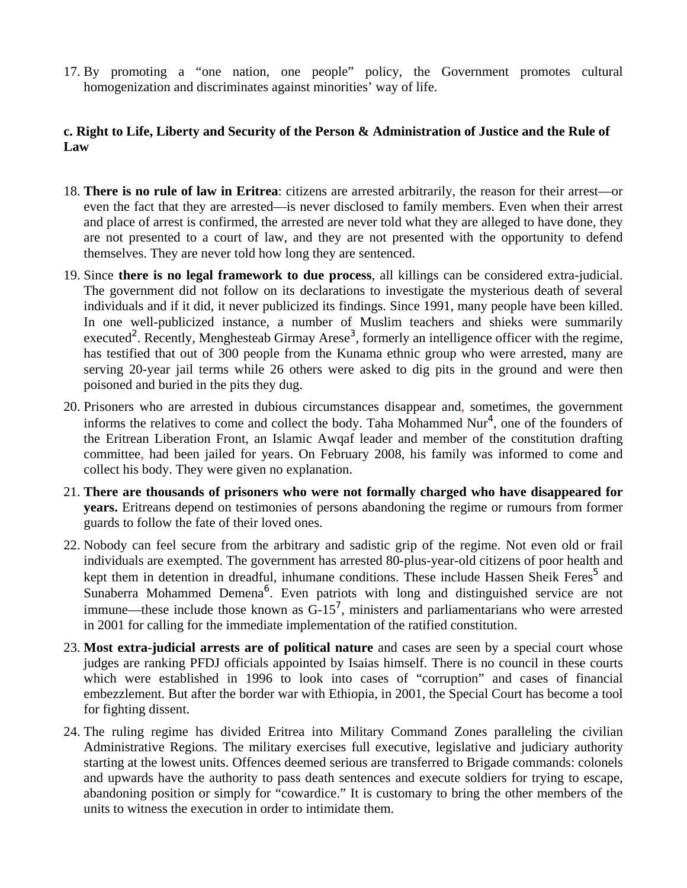17. By promoting a "one nation, one people" policy, the Government promotes cultural homogenization and discriminates against minorities' way of life.

# **c. Right to Life, Liberty and Security of the Person & Administration of Justice and the Rule of Law**

- 18. **There is no rule of law in Eritrea**: citizens are arrested arbitrarily, the reason for their arrest—or even the fact that they are arrested—is never disclosed to family members. Even when their arrest and place of arrest is confirmed, the arrested are never told what they are alleged to have done, they are not presented to a court of law, and they are not presented with the opportunity to defend themselves. They are never told how long they are sentenced.
- 19. Since **there is no legal framework to due process**, all killings can be considered extra-judicial. The government did not follow on its declarations to investigate the mysterious death of several individuals and if it did, it never publicized its findings. Since 1991, many people have been killed. In one well-publicized instance, a number of Muslim teachers and shieks were summarily executed<sup>2</sup>. Recently, Menghesteab Girmay Arese<sup>3</sup>, formerly an intelligence officer with the regime, has testified that out of 300 people from the Kunama ethnic group who were arrested, many are serving 20-year jail terms while 26 others were asked to dig pits in the ground and were then poisoned and buried in the pits they dug.
- 20. Prisoners who are arrested in dubious circumstances disappear and, sometimes, the government informs the relatives to come and collect the body. Taha Mohammed Nur<sup>4</sup>, one of the founders of the Eritrean Liberation Front, an Islamic Awqaf leader and member of the constitution drafting committee, had been jailed for years. On February 2008, his family was informed to come and collect his body. They were given no explanation.
- 21. **There are thousands of prisoners who were not formally charged who have disappeared for years.** Eritreans depend on testimonies of persons abandoning the regime or rumours from former guards to follow the fate of their loved ones.
- 22. Nobody can feel secure from the arbitrary and sadistic grip of the regime. Not even old or frail individuals are exempted. The government has arrested 80-plus-year-old citizens of poor health and kept them in detention in dreadful, inhumane conditions. These include Hassen Sheik Feres<sup>5</sup> and Sunaberra Mohammed Demena<sup>6</sup>. Even patriots with long and distinguished service are not immune—these include those known as  $G-15^7$ , ministers and parliamentarians who were arrested in 2001 for calling for the immediate implementation of the ratified constitution.
- 23. **Most extra-judicial arrests are of political nature** and cases are seen by a special court whose judges are ranking PFDJ officials appointed by Isaias himself. There is no council in these courts which were established in 1996 to look into cases of "corruption" and cases of financial embezzlement. But after the border war with Ethiopia, in 2001, the Special Court has become a tool for fighting dissent.
- 24. The ruling regime has divided Eritrea into Military Command Zones paralleling the civilian Administrative Regions. The military exercises full executive, legislative and judiciary authority starting at the lowest units. Offences deemed serious are transferred to Brigade commands: colonels and upwards have the authority to pass death sentences and execute soldiers for trying to escape, abandoning position or simply for "cowardice." It is customary to bring the other members of the units to witness the execution in order to intimidate them.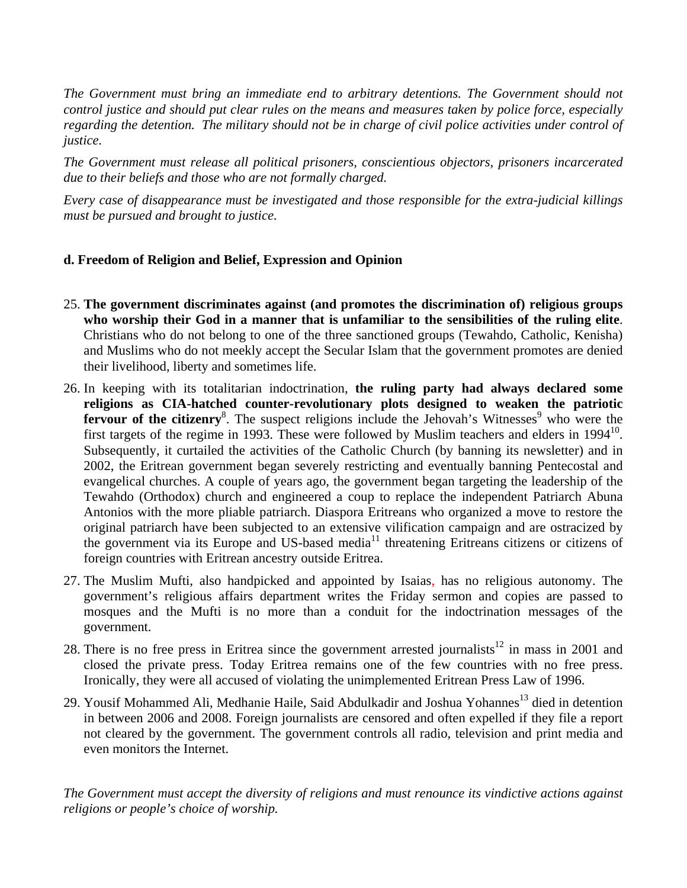*The Government must bring an immediate end to arbitrary detentions. The Government should not control justice and should put clear rules on the means and measures taken by police force, especially regarding the detention. The military should not be in charge of civil police activities under control of justice.* 

*The Government must release all political prisoners, conscientious objectors, prisoners incarcerated due to their beliefs and those who are not formally charged.* 

*Every case of disappearance must be investigated and those responsible for the extra-judicial killings must be pursued and brought to justice.* 

## **d. Freedom of Religion and Belief, Expression and Opinion**

- 25. **The government discriminates against (and promotes the discrimination of) religious groups who worship their God in a manner that is unfamiliar to the sensibilities of the ruling elite**. Christians who do not belong to one of the three sanctioned groups (Tewahdo, Catholic, Kenisha) and Muslims who do not meekly accept the Secular Islam that the government promotes are denied their livelihood, liberty and sometimes life.
- 26. In keeping with its totalitarian indoctrination, **the ruling party had always declared some religions as CIA-hatched counter-revolutionary plots designed to weaken the patriotic**  fervour of the citizenry<sup>8</sup>. The suspect religions include the Jehovah's Witnesses<sup>9</sup> who were the first targets of the regime in 1993. These were followed by Muslim teachers and elders in  $1994^{10}$ . Subsequently, it curtailed the activities of the Catholic Church (by banning its newsletter) and in 2002, the Eritrean government began severely restricting and eventually banning Pentecostal and evangelical churches. A couple of years ago, the government began targeting the leadership of the Tewahdo (Orthodox) church and engineered a coup to replace the independent Patriarch Abuna Antonios with the more pliable patriarch. Diaspora Eritreans who organized a move to restore the original patriarch have been subjected to an extensive vilification campaign and are ostracized by the government via its Europe and US-based media<sup>11</sup> threatening Eritreans citizens or citizens of foreign countries with Eritrean ancestry outside Eritrea.
- 27. The Muslim Mufti, also handpicked and appointed by Isaias, has no religious autonomy. The government's religious affairs department writes the Friday sermon and copies are passed to mosques and the Mufti is no more than a conduit for the indoctrination messages of the government.
- 28. There is no free press in Eritrea since the government arrested journalists<sup>12</sup> in mass in 2001 and closed the private press. Today Eritrea remains one of the few countries with no free press. Ironically, they were all accused of violating the unimplemented Eritrean Press Law of 1996.
- 29. Yousif Mohammed Ali, Medhanie Haile, Said Abdulkadir and Joshua Yohannes<sup>13</sup> died in detention in between 2006 and 2008. Foreign journalists are censored and often expelled if they file a report not cleared by the government. The government controls all radio, television and print media and even monitors the Internet.

*The Government must accept the diversity of religions and must renounce its vindictive actions against religions or people's choice of worship.*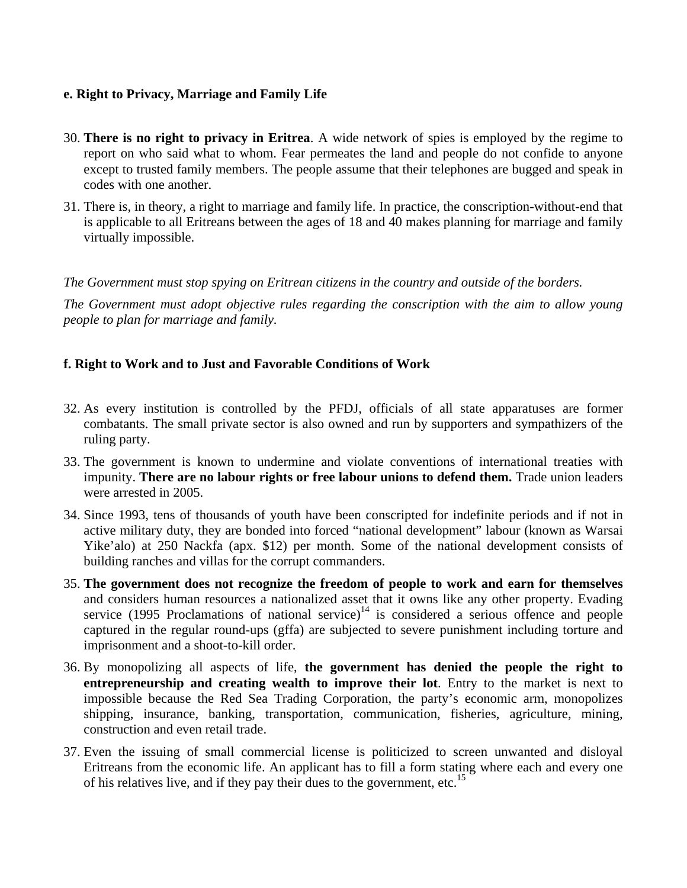#### **e. Right to Privacy, Marriage and Family Life**

- 30. **There is no right to privacy in Eritrea**. A wide network of spies is employed by the regime to report on who said what to whom. Fear permeates the land and people do not confide to anyone except to trusted family members. The people assume that their telephones are bugged and speak in codes with one another.
- 31. There is, in theory, a right to marriage and family life. In practice, the conscription-without-end that is applicable to all Eritreans between the ages of 18 and 40 makes planning for marriage and family virtually impossible.

*The Government must stop spying on Eritrean citizens in the country and outside of the borders.* 

*The Government must adopt objective rules regarding the conscription with the aim to allow young people to plan for marriage and family.* 

#### **f. Right to Work and to Just and Favorable Conditions of Work**

- 32. As every institution is controlled by the PFDJ, officials of all state apparatuses are former combatants. The small private sector is also owned and run by supporters and sympathizers of the ruling party.
- 33. The government is known to undermine and violate conventions of international treaties with impunity. **There are no labour rights or free labour unions to defend them.** Trade union leaders were arrested in 2005.
- 34. Since 1993, tens of thousands of youth have been conscripted for indefinite periods and if not in active military duty, they are bonded into forced "national development" labour (known as Warsai Yike'alo) at 250 Nackfa (apx. \$12) per month. Some of the national development consists of building ranches and villas for the corrupt commanders.
- 35. **The government does not recognize the freedom of people to work and earn for themselves** and considers human resources a nationalized asset that it owns like any other property. Evading service (1995 Proclamations of national service)<sup>14</sup> is considered a serious offence and people captured in the regular round-ups (gffa) are subjected to severe punishment including torture and imprisonment and a shoot-to-kill order.
- 36. By monopolizing all aspects of life, **the government has denied the people the right to entrepreneurship and creating wealth to improve their lot**. Entry to the market is next to impossible because the Red Sea Trading Corporation, the party's economic arm, monopolizes shipping, insurance, banking, transportation, communication, fisheries, agriculture, mining, construction and even retail trade.
- 37. Even the issuing of small commercial license is politicized to screen unwanted and disloyal Eritreans from the economic life. An applicant has to fill a form stating where each and every one of his relatives live, and if they pay their dues to the government, etc.<sup>15</sup>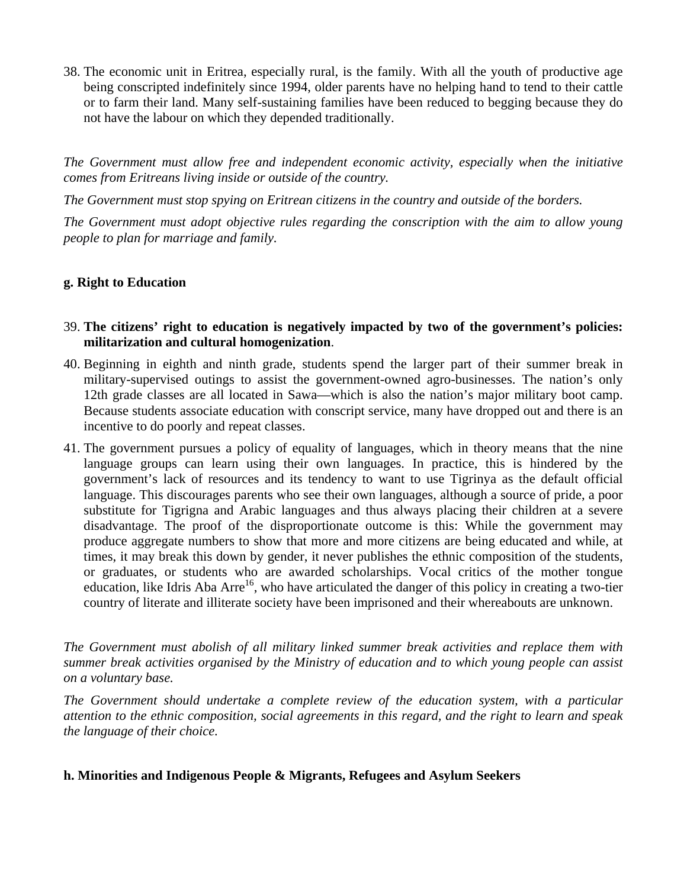38. The economic unit in Eritrea, especially rural, is the family. With all the youth of productive age being conscripted indefinitely since 1994, older parents have no helping hand to tend to their cattle or to farm their land. Many self-sustaining families have been reduced to begging because they do not have the labour on which they depended traditionally.

*The Government must allow free and independent economic activity, especially when the initiative comes from Eritreans living inside or outside of the country.* 

*The Government must stop spying on Eritrean citizens in the country and outside of the borders.* 

*The Government must adopt objective rules regarding the conscription with the aim to allow young people to plan for marriage and family.* 

# **g. Right to Education**

- 39. **The citizens' right to education is negatively impacted by two of the government's policies: militarization and cultural homogenization**.
- 40. Beginning in eighth and ninth grade, students spend the larger part of their summer break in military-supervised outings to assist the government-owned agro-businesses. The nation's only 12th grade classes are all located in Sawa—which is also the nation's major military boot camp. Because students associate education with conscript service, many have dropped out and there is an incentive to do poorly and repeat classes.
- 41. The government pursues a policy of equality of languages, which in theory means that the nine language groups can learn using their own languages. In practice, this is hindered by the government's lack of resources and its tendency to want to use Tigrinya as the default official language. This discourages parents who see their own languages, although a source of pride, a poor substitute for Tigrigna and Arabic languages and thus always placing their children at a severe disadvantage. The proof of the disproportionate outcome is this: While the government may produce aggregate numbers to show that more and more citizens are being educated and while, at times, it may break this down by gender, it never publishes the ethnic composition of the students, or graduates, or students who are awarded scholarships. Vocal critics of the mother tongue education, like Idris Aba Arre<sup>16</sup>, who have articulated the danger of this policy in creating a two-tier country of literate and illiterate society have been imprisoned and their whereabouts are unknown.

*The Government must abolish of all military linked summer break activities and replace them with summer break activities organised by the Ministry of education and to which young people can assist on a voluntary base.* 

*The Government should undertake a complete review of the education system, with a particular attention to the ethnic composition, social agreements in this regard, and the right to learn and speak the language of their choice.* 

#### **h. Minorities and Indigenous People & Migrants, Refugees and Asylum Seekers**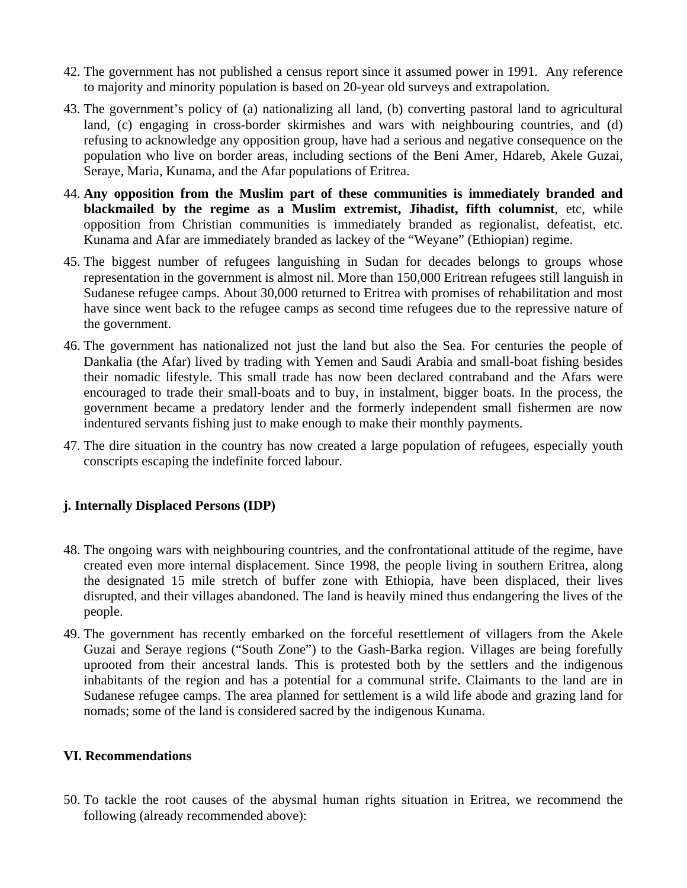- 42. The government has not published a census report since it assumed power in 1991. Any reference to majority and minority population is based on 20-year old surveys and extrapolation.
- 43. The government's policy of (a) nationalizing all land, (b) converting pastoral land to agricultural land, (c) engaging in cross-border skirmishes and wars with neighbouring countries, and (d) refusing to acknowledge any opposition group, have had a serious and negative consequence on the population who live on border areas, including sections of the Beni Amer, Hdareb, Akele Guzai, Seraye, Maria, Kunama, and the Afar populations of Eritrea.
- 44. **Any opposition from the Muslim part of these communities is immediately branded and blackmailed by the regime as a Muslim extremist, Jihadist, fifth columnist**, etc, while opposition from Christian communities is immediately branded as regionalist, defeatist, etc. Kunama and Afar are immediately branded as lackey of the "Weyane" (Ethiopian) regime.
- 45. The biggest number of refugees languishing in Sudan for decades belongs to groups whose representation in the government is almost nil. More than 150,000 Eritrean refugees still languish in Sudanese refugee camps. About 30,000 returned to Eritrea with promises of rehabilitation and most have since went back to the refugee camps as second time refugees due to the repressive nature of the government.
- 46. The government has nationalized not just the land but also the Sea. For centuries the people of Dankalia (the Afar) lived by trading with Yemen and Saudi Arabia and small-boat fishing besides their nomadic lifestyle. This small trade has now been declared contraband and the Afars were encouraged to trade their small-boats and to buy, in instalment, bigger boats. In the process, the government became a predatory lender and the formerly independent small fishermen are now indentured servants fishing just to make enough to make their monthly payments.
- 47. The dire situation in the country has now created a large population of refugees, especially youth conscripts escaping the indefinite forced labour.

## **j. Internally Displaced Persons (IDP)**

- 48. The ongoing wars with neighbouring countries, and the confrontational attitude of the regime, have created even more internal displacement. Since 1998, the people living in southern Eritrea, along the designated 15 mile stretch of buffer zone with Ethiopia, have been displaced, their lives disrupted, and their villages abandoned. The land is heavily mined thus endangering the lives of the people.
- 49. The government has recently embarked on the forceful resettlement of villagers from the Akele Guzai and Seraye regions ("South Zone") to the Gash-Barka region. Villages are being forefully uprooted from their ancestral lands. This is protested both by the settlers and the indigenous inhabitants of the region and has a potential for a communal strife. Claimants to the land are in Sudanese refugee camps. The area planned for settlement is a wild life abode and grazing land for nomads; some of the land is considered sacred by the indigenous Kunama.

#### **VI. Recommendations**

50. To tackle the root causes of the abysmal human rights situation in Eritrea, we recommend the following (already recommended above):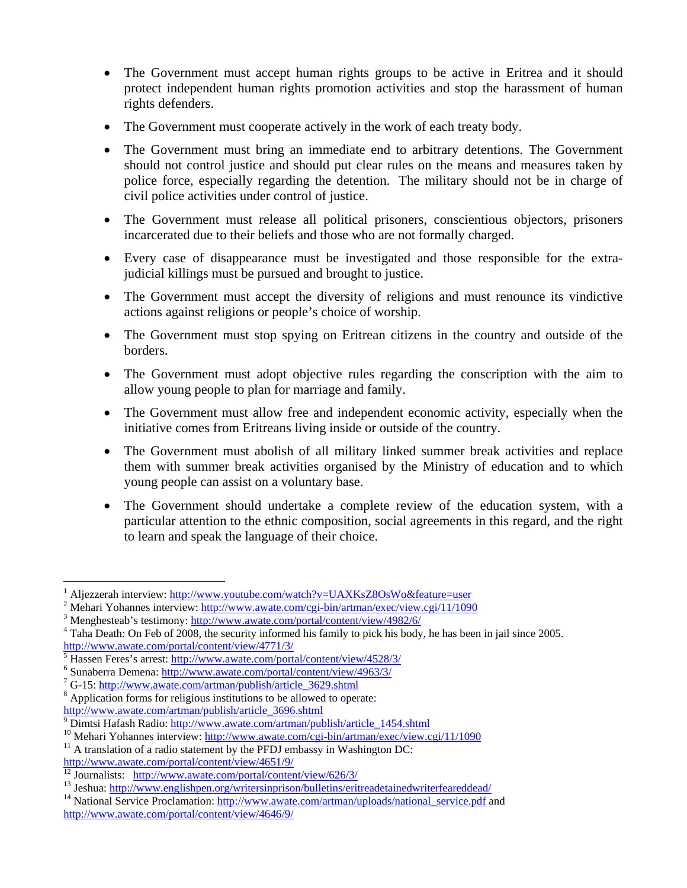- The Government must accept human rights groups to be active in Eritrea and it should protect independent human rights promotion activities and stop the harassment of human rights defenders.
- The Government must cooperate actively in the work of each treaty body.
- The Government must bring an immediate end to arbitrary detentions. The Government should not control justice and should put clear rules on the means and measures taken by police force, especially regarding the detention. The military should not be in charge of civil police activities under control of justice.
- The Government must release all political prisoners, conscientious objectors, prisoners incarcerated due to their beliefs and those who are not formally charged.
- Every case of disappearance must be investigated and those responsible for the extrajudicial killings must be pursued and brought to justice.
- The Government must accept the diversity of religions and must renounce its vindictive actions against religions or people's choice of worship.
- The Government must stop spying on Eritrean citizens in the country and outside of the borders.
- The Government must adopt objective rules regarding the conscription with the aim to allow young people to plan for marriage and family.
- The Government must allow free and independent economic activity, especially when the initiative comes from Eritreans living inside or outside of the country.
- The Government must abolish of all military linked summer break activities and replace them with summer break activities organised by the Ministry of education and to which young people can assist on a voluntary base.
- The Government should undertake a complete review of the education system, with a particular attention to the ethnic composition, social agreements in this regard, and the right to learn and speak the language of their choice.

 $\overline{a}$ 

<sup>1</sup> Aljezzerah interview: http://www.youtube.com/watch?v=UAXKsZ8OsWo&feature=user <sup>2</sup>

<sup>&</sup>lt;sup>2</sup> Mehari Yohannes interview: http://www.awate.com/cgi-bin/artman/exec/view.cgi/11/1090<br><sup>3</sup> Menghesteeb's testimony http://www.awate.com/portal/content/view/4082/6/

Menghesteab's testimony: http://www.awate.com/portal/content/view/4982/6/ <sup>4</sup>

 $4$  Taha Death: On Feb of 2008, the security informed his family to pick his body, he has been in jail since 2005. http://www.awate.com/portal/content/view/4771/3/

<sup>5</sup> Hassen Feres's arrest: http://www.awate.com/portal/content/view/4528/3/ <sup>6</sup>

Sunaberra Demena: http://www.awate.com/portal/content/view/4963/3/ <sup>7</sup>

G-15: http://www.awate.com/artman/publish/article\_3629.shtml <sup>8</sup>

Application forms for religious institutions to be allowed to operate:

http://www.awate.com/artman/publish/article\_3696.shtml<br><sup>9</sup> Dimtsi Hafash Radio: http://www.awate.com/artman/publish/article\_1454.shtml

<sup>&</sup>lt;sup>10</sup> Mehari Yohannes interview: http://www.awate.com/cgi-bin/artman/exec/view.cgi/11/1090<sup>11</sup> A translation of a radio statement by the PFDJ embassy in Washington DC:

http://www.awate.com/portal/content/view/4651/9/<br><sup>12</sup> Journalists: http://www.awate.com/portal/content/view/626/3/

<sup>&</sup>lt;sup>13</sup> Jeshua: http://www.englishpen.org/writersinprison/bulletins/eritreadetainedwriterfeareddead/<br><sup>14</sup> National Service Proclamation: http://www.awate.com/artman/uploads/national service.pdf and

http://www.awate.com/portal/content/view/4646/9/